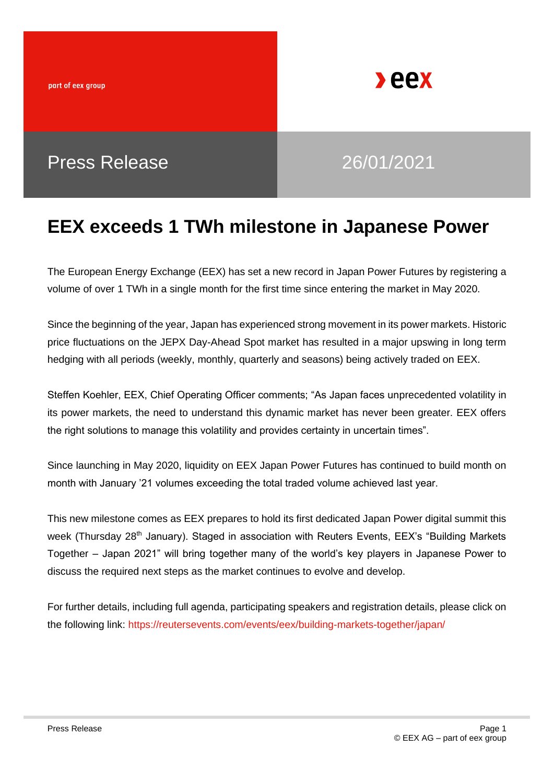part of eex group



## Press Release 26/01/2021

## **EEX exceeds 1 TWh milestone in Japanese Power**

The European Energy Exchange (EEX) has set a new record in Japan Power Futures by registering a volume of over 1 TWh in a single month for the first time since entering the market in May 2020.

Since the beginning of the year, Japan has experienced strong movement in its power markets. Historic price fluctuations on the JEPX Day-Ahead Spot market has resulted in a major upswing in long term hedging with all periods (weekly, monthly, quarterly and seasons) being actively traded on EEX.

Steffen Koehler, EEX, Chief Operating Officer comments; "As Japan faces unprecedented volatility in its power markets, the need to understand this dynamic market has never been greater. EEX offers the right solutions to manage this volatility and provides certainty in uncertain times".

Since launching in May 2020, liquidity on EEX Japan Power Futures has continued to build month on month with January '21 volumes exceeding the total traded volume achieved last year.

This new milestone comes as EEX prepares to hold its first dedicated Japan Power digital summit this week (Thursday 28<sup>th</sup> January). Staged in association with Reuters Events, EEX's "Building Markets" Together – Japan 2021" will bring together many of the world's key players in Japanese Power to discuss the required next steps as the market continues to evolve and develop.

For further details, including full agenda, participating speakers and registration details, please click on the following link: https://reutersevents.com/events/eex/building-markets-together/japan/